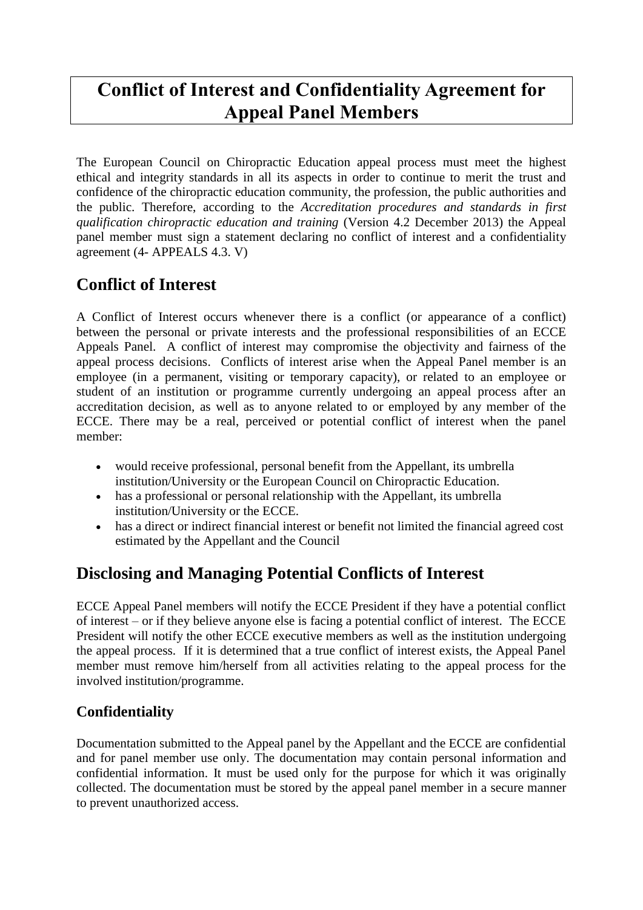# **Conflict of Interest and Confidentiality Agreement for Appeal Panel Members**

The European Council on Chiropractic Education appeal process must meet the highest ethical and integrity standards in all its aspects in order to continue to merit the trust and confidence of the chiropractic education community, the profession, the public authorities and the public. Therefore, according to the *Accreditation procedures and standards in first qualification chiropractic education and training* (Version 4.2 December 2013) the Appeal panel member must sign a statement declaring no conflict of interest and a confidentiality agreement (4- APPEALS 4.3. V)

## **Conflict of Interest**

A Conflict of Interest occurs whenever there is a conflict (or appearance of a conflict) between the personal or private interests and the professional responsibilities of an ECCE Appeals Panel. A conflict of interest may compromise the objectivity and fairness of the appeal process decisions. Conflicts of interest arise when the Appeal Panel member is an employee (in a permanent, visiting or temporary capacity), or related to an employee or student of an institution or programme currently undergoing an appeal process after an accreditation decision, as well as to anyone related to or employed by any member of the ECCE. There may be a real, perceived or potential conflict of interest when the panel member:

- would receive professional, personal benefit from the Appellant, its umbrella institution/University or the European Council on Chiropractic Education.
- has a professional or personal relationship with the Appellant, its umbrella institution/University or the ECCE.
- has a direct or indirect financial interest or benefit not limited the financial agreed cost estimated by the Appellant and the Council

### **Disclosing and Managing Potential Conflicts of Interest**

ECCE Appeal Panel members will notify the ECCE President if they have a potential conflict of interest – or if they believe anyone else is facing a potential conflict of interest. The ECCE President will notify the other ECCE executive members as well as the institution undergoing the appeal process. If it is determined that a true conflict of interest exists, the Appeal Panel member must remove him/herself from all activities relating to the appeal process for the involved institution/programme.

#### **Confidentiality**

Documentation submitted to the Appeal panel by the Appellant and the ECCE are confidential and for panel member use only. The documentation may contain personal information and confidential information. It must be used only for the purpose for which it was originally collected. The documentation must be stored by the appeal panel member in a secure manner to prevent unauthorized access.